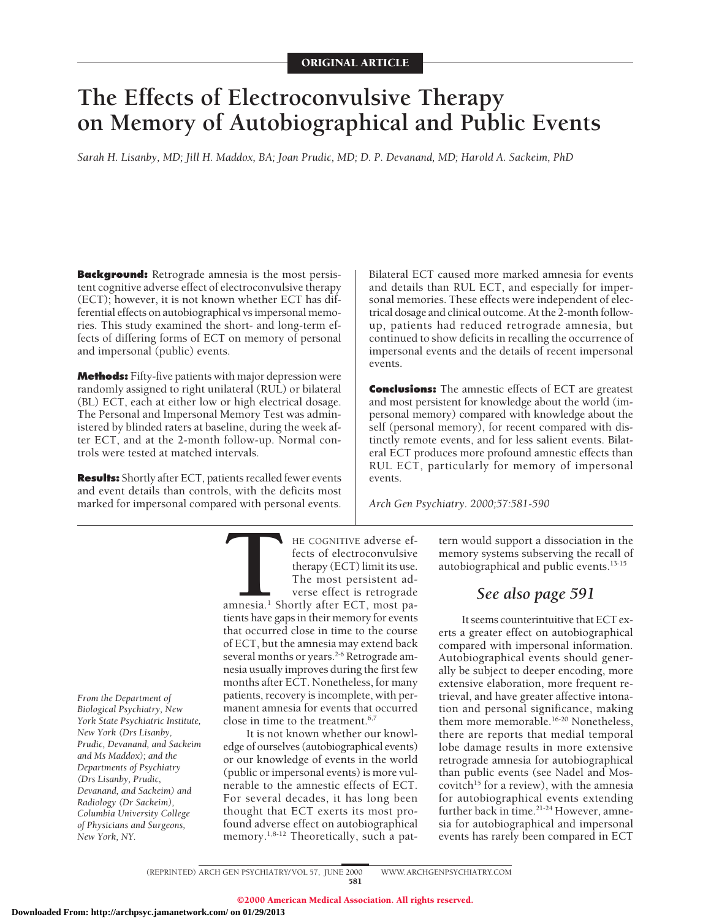# **The Effects of Electroconvulsive Therapy on Memory of Autobiographical and Public Events**

*Sarah H. Lisanby, MD; Jill H. Maddox, BA; Joan Prudic, MD; D. P. Devanand, MD; Harold A. Sackeim, PhD*

**Background:** Retrograde amnesia is the most persistent cognitive adverse effect of electroconvulsive therapy (ECT); however, it is not known whether ECT has differential effects on autobiographical vs impersonal memories. This study examined the short- and long-term effects of differing forms of ECT on memory of personal and impersonal (public) events.

**Methods:** Fifty-five patients with major depression were randomly assigned to right unilateral (RUL) or bilateral (BL) ECT, each at either low or high electrical dosage. The Personal and Impersonal Memory Test was administered by blinded raters at baseline, during the week after ECT, and at the 2-month follow-up. Normal controls were tested at matched intervals.

**Results:** Shortly after ECT, patients recalled fewer events and event details than controls, with the deficits most marked for impersonal compared with personal events.

Bilateral ECT caused more marked amnesia for events and details than RUL ECT, and especially for impersonal memories. These effects were independent of electrical dosage and clinical outcome. At the 2-month followup, patients had reduced retrograde amnesia, but continued to show deficits in recalling the occurrence of impersonal events and the details of recent impersonal events.

**Conclusions:** The amnestic effects of ECT are greatest and most persistent for knowledge about the world (impersonal memory) compared with knowledge about the self (personal memory), for recent compared with distinctly remote events, and for less salient events. Bilateral ECT produces more profound amnestic effects than RUL ECT, particularly for memory of impersonal events.

*Arch Gen Psychiatry. 2000;57:581-590*

*From the Department of Biological Psychiatry, New York State Psychiatric Institute, New York (Drs Lisanby, Prudic, Devanand, and Sackeim and Ms Maddox); and the Departments of Psychiatry (Drs Lisanby, Prudic, Devanand, and Sackeim) and Radiology (Dr Sackeim), Columbia University College of Physicians and Surgeons, New York, NY.*

THE COGNITIVE adverse ef-<br>fects of electroconvulsive<br>therapy (ECT) limit its use.<br>The most persistent adverse effect is retrograde<br>amnesia.<sup>1</sup> Shortly after ECT, most pa-<br>tients have gaps in their memory for events fects of electroconvulsive therapy (ECT) limit its use. The most persistent adverse effect is retrograde amnesia.<sup>1</sup> Shortly after ECT, most patients have gaps in their memory for events that occurred close in time to the course of ECT, but the amnesia may extend back several months or years.<sup>2-6</sup> Retrograde amnesia usually improves during the first few months after ECT. Nonetheless, for many patients, recovery is incomplete, with permanent amnesia for events that occurred close in time to the treatment. $6,7$ 

It is not known whether our knowledge of ourselves (autobiographical events) or our knowledge of events in the world (public or impersonal events) is more vulnerable to the amnestic effects of ECT. For several decades, it has long been thought that ECT exerts its most profound adverse effect on autobiographical memory.<sup>1,8-12</sup> Theoretically, such a pattern would support a dissociation in the memory systems subserving the recall of autobiographical and public events.13-15

# *See also page 591*

It seems counterintuitive that ECT exerts a greater effect on autobiographical compared with impersonal information. Autobiographical events should generally be subject to deeper encoding, more extensive elaboration, more frequent retrieval, and have greater affective intonation and personal significance, making them more memorable.<sup>16-20</sup> Nonetheless, there are reports that medial temporal lobe damage results in more extensive retrograde amnesia for autobiographical than public events (see Nadel and Moscovitch<sup>15</sup> for a review), with the amnesia for autobiographical events extending further back in time.<sup>21-24</sup> However, amnesia for autobiographical and impersonal events has rarely been compared in ECT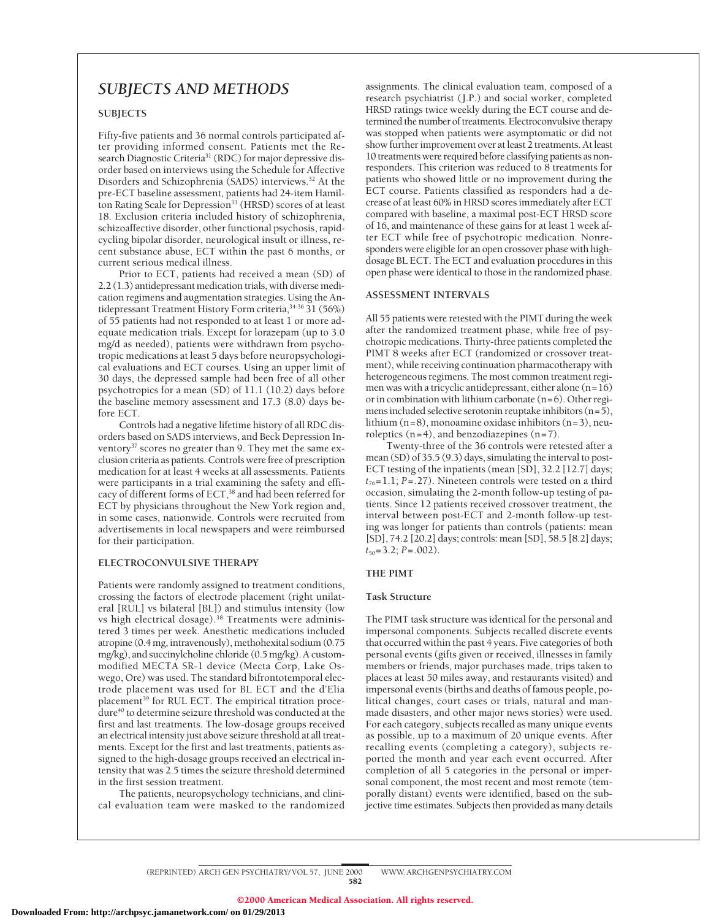# *SUBJECTS AND METHODS*

# **SUBJECTS**

Fifty-five patients and 36 normal controls participated after providing informed consent. Patients met the Research Diagnostic Criteria<sup>31</sup> (RDC) for major depressive disorder based on interviews using the Schedule for Affective Disorders and Schizophrenia (SADS) interviews.<sup>32</sup> At the pre-ECT baseline assessment, patients had 24-item Hamilton Rating Scale for Depression<sup>33</sup> (HRSD) scores of at least 18. Exclusion criteria included history of schizophrenia, schizoaffective disorder, other functional psychosis, rapidcycling bipolar disorder, neurological insult or illness, recent substance abuse, ECT within the past 6 months, or current serious medical illness.

Prior to ECT, patients had received a mean (SD) of 2.2 (1.3) antidepressant medication trials, with diverse medication regimens and augmentation strategies. Using the Antidepressant Treatment History Form criteria,34-36 31 (56%) of 55 patients had not responded to at least 1 or more adequate medication trials. Except for lorazepam (up to 3.0 mg/d as needed), patients were withdrawn from psychotropic medications at least 5 days before neuropsychological evaluations and ECT courses. Using an upper limit of 30 days, the depressed sample had been free of all other psychotropics for a mean (SD) of 11.1 (10.2) days before the baseline memory assessment and 17.3 (8.0) days before ECT.

Controls had a negative lifetime history of all RDC disorders based on SADS interviews, and Beck Depression Inventory<sup>37</sup> scores no greater than 9. They met the same exclusion criteria as patients. Controls were free of prescription medication for at least 4 weeks at all assessments. Patients were participants in a trial examining the safety and efficacy of different forms of ECT,38 and had been referred for ECT by physicians throughout the New York region and, in some cases, nationwide. Controls were recruited from advertisements in local newspapers and were reimbursed for their participation.

#### **ELECTROCONVULSIVE THERAPY**

Patients were randomly assigned to treatment conditions, crossing the factors of electrode placement (right unilateral [RUL] vs bilateral [BL]) and stimulus intensity (low vs high electrical dosage).<sup>38</sup> Treatments were administered 3 times per week. Anesthetic medications included atropine (0.4 mg, intravenously), methohexital sodium (0.75 mg/kg), and succinylcholine chloride (0.5 mg/kg). A custommodified MECTA SR-1 device (Mecta Corp, Lake Oswego, Ore) was used. The standard bifrontotemporal electrode placement was used for BL ECT and the d'Elia placement<sup>39</sup> for RUL ECT. The empirical titration procedure<sup>40</sup> to determine seizure threshold was conducted at the first and last treatments. The low-dosage groups received an electrical intensity just above seizure threshold at all treatments. Except for the first and last treatments, patients assigned to the high-dosage groups received an electrical intensity that was 2.5 times the seizure threshold determined in the first session treatment.

The patients, neuropsychology technicians, and clinical evaluation team were masked to the randomized assignments. The clinical evaluation team, composed of a research psychiatrist (J.P.) and social worker, completed HRSD ratings twice weekly during the ECT course and determined the number of treatments. Electroconvulsive therapy was stopped when patients were asymptomatic or did not show further improvement over at least 2 treatments. At least 10 treatments were required before classifying patients as nonresponders. This criterion was reduced to 8 treatments for patients who showed little or no improvement during the ECT course. Patients classified as responders had a decrease of at least 60% in HRSD scores immediately after ECT compared with baseline, a maximal post-ECT HRSD score of 16, and maintenance of these gains for at least 1 week after ECT while free of psychotropic medication. Nonresponders were eligible for an open crossover phase with highdosage BL ECT. The ECT and evaluation procedures in this open phase were identical to those in the randomized phase.

#### **ASSESSMENT INTERVALS**

All 55 patients were retested with the PIMT during the week after the randomized treatment phase, while free of psychotropic medications. Thirty-three patients completed the PIMT 8 weeks after ECT (randomized or crossover treatment), while receiving continuation pharmacotherapy with heterogeneous regimens. The most common treatment regimen was with a tricyclic antidepressant, either alone  $(n=16)$ or in combination with lithium carbonate (n=6). Other regimens included selective serotonin reuptake inhibitors (n=5), lithium (n=8), monoamine oxidase inhibitors (n=3), neuroleptics  $(n=4)$ , and benzodiazepines  $(n=7)$ .

Twenty-three of the 36 controls were retested after a mean (SD) of 35.5 (9.3) days, simulating the interval to post-ECT testing of the inpatients (mean [SD], 32.2 [12.7] days;  $t_{76}$ =1.1; *P*=.27). Nineteen controls were tested on a third occasion, simulating the 2-month follow-up testing of patients. Since 12 patients received crossover treatment, the interval between post-ECT and 2-month follow-up testing was longer for patients than controls (patients: mean [SD], 74.2 [20.2] days; controls: mean [SD], 58.5 [8.2] days; *t*50=3.2; *P*=.002).

### **THE PIMT**

#### **Task Structure**

The PIMT task structure was identical for the personal and impersonal components. Subjects recalled discrete events that occurred within the past 4 years. Five categories of both personal events (gifts given or received, illnesses in family members or friends, major purchases made, trips taken to places at least 50 miles away, and restaurants visited) and impersonal events (births and deaths of famous people, political changes, court cases or trials, natural and manmade disasters, and other major news stories) were used. For each category, subjects recalled as many unique events as possible, up to a maximum of 20 unique events. After recalling events (completing a category), subjects reported the month and year each event occurred. After completion of all 5 categories in the personal or impersonal component, the most recent and most remote (temporally distant) events were identified, based on the subjective time estimates. Subjects then provided as many details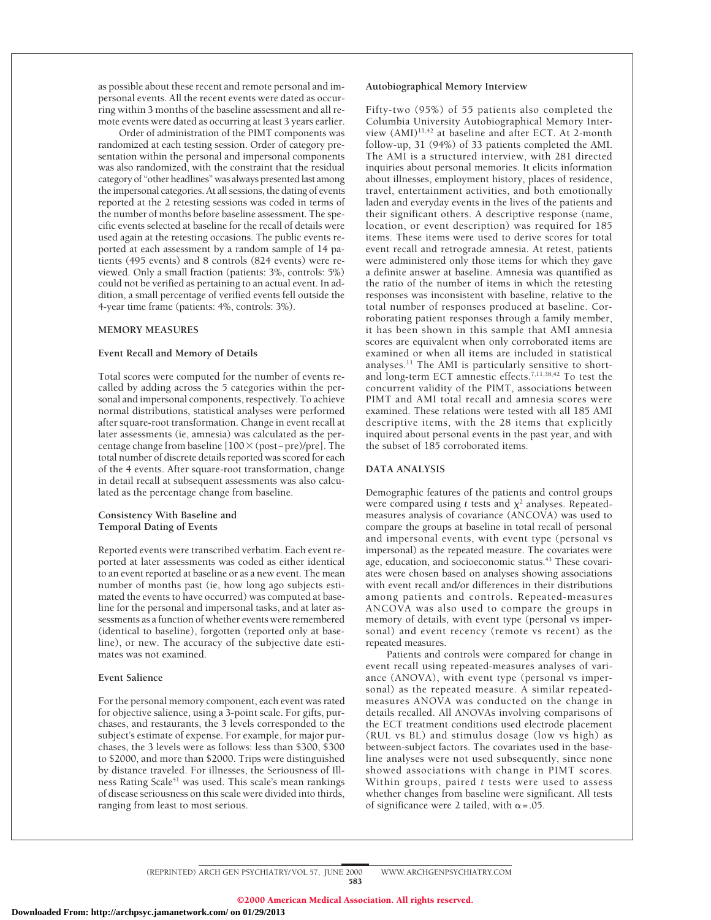as possible about these recent and remote personal and impersonal events. All the recent events were dated as occurring within 3 months of the baseline assessment and all remote events were dated as occurring at least 3 years earlier.

Order of administration of the PIMT components was randomized at each testing session. Order of category presentation within the personal and impersonal components was also randomized, with the constraint that the residual category of "other headlines" was always presented last among the impersonal categories. At all sessions, the dating of events reported at the 2 retesting sessions was coded in terms of the number of months before baseline assessment. The specific events selected at baseline for the recall of details were used again at the retesting occasions. The public events reported at each assessment by a random sample of 14 patients (495 events) and 8 controls (824 events) were reviewed. Only a small fraction (patients: 3%, controls: 5%) could not be verified as pertaining to an actual event. In addition, a small percentage of verified events fell outside the 4-year time frame (patients: 4%, controls: 3%).

#### **MEMORY MEASURES**

#### **Event Recall and Memory of Details**

Total scores were computed for the number of events recalled by adding across the 5 categories within the personal and impersonal components, respectively. To achieve normal distributions, statistical analyses were performed after square-root transformation. Change in event recall at later assessments (ie, amnesia) was calculated as the percentage change from baseline [100 × (post−pre)/pre]. The total number of discrete details reported was scored for each of the 4 events. After square-root transformation, change in detail recall at subsequent assessments was also calculated as the percentage change from baseline.

#### **Consistency With Baseline and Temporal Dating of Events**

Reported events were transcribed verbatim. Each event reported at later assessments was coded as either identical to an event reported at baseline or as a new event. The mean number of months past (ie, how long ago subjects estimated the events to have occurred) was computed at baseline for the personal and impersonal tasks, and at later assessments as a function of whether events were remembered (identical to baseline), forgotten (reported only at baseline), or new. The accuracy of the subjective date estimates was not examined.

#### **Event Salience**

For the personal memory component, each event was rated for objective salience, using a 3-point scale. For gifts, purchases, and restaurants, the 3 levels corresponded to the subject's estimate of expense. For example, for major purchases, the 3 levels were as follows: less than \$300, \$300 to \$2000, and more than \$2000. Trips were distinguished by distance traveled. For illnesses, the Seriousness of Illness Rating Scale<sup>41</sup> was used. This scale's mean rankings of disease seriousness on this scale were divided into thirds, ranging from least to most serious.

#### **Autobiographical Memory Interview**

Fifty-two (95%) of 55 patients also completed the Columbia University Autobiographical Memory Interview (AMI)<sup>11,42</sup> at baseline and after ECT. At 2-month follow-up, 31 (94%) of 33 patients completed the AMI. The AMI is a structured interview, with 281 directed inquiries about personal memories. It elicits information about illnesses, employment history, places of residence, travel, entertainment activities, and both emotionally laden and everyday events in the lives of the patients and their significant others. A descriptive response (name, location, or event description) was required for 185 items. These items were used to derive scores for total event recall and retrograde amnesia. At retest, patients were administered only those items for which they gave a definite answer at baseline. Amnesia was quantified as the ratio of the number of items in which the retesting responses was inconsistent with baseline, relative to the total number of responses produced at baseline. Corroborating patient responses through a family member, it has been shown in this sample that AMI amnesia scores are equivalent when only corroborated items are examined or when all items are included in statistical analyses.11 The AMI is particularly sensitive to shortand long-term ECT amnestic effects.<sup>7,11,38,42</sup> To test the concurrent validity of the PIMT, associations between PIMT and AMI total recall and amnesia scores were examined. These relations were tested with all 185 AMI descriptive items, with the 28 items that explicitly inquired about personal events in the past year, and with the subset of 185 corroborated items.

#### **DATA ANALYSIS**

Demographic features of the patients and control groups were compared using  $t$  tests and  $\chi^2$  analyses. Repeatedmeasures analysis of covariance (ANCOVA) was used to compare the groups at baseline in total recall of personal and impersonal events, with event type (personal vs impersonal) as the repeated measure. The covariates were age, education, and socioeconomic status.<sup>43</sup> These covariates were chosen based on analyses showing associations with event recall and/or differences in their distributions among patients and controls. Repeated-measures ANCOVA was also used to compare the groups in memory of details, with event type (personal vs impersonal) and event recency (remote vs recent) as the repeated measures.

Patients and controls were compared for change in event recall using repeated-measures analyses of variance (ANOVA), with event type (personal vs impersonal) as the repeated measure. A similar repeatedmeasures ANOVA was conducted on the change in details recalled. All ANOVAs involving comparisons of the ECT treatment conditions used electrode placement (RUL vs BL) and stimulus dosage (low vs high) as between-subject factors. The covariates used in the baseline analyses were not used subsequently, since none showed associations with change in PIMT scores. Within groups, paired *t* tests were used to assess whether changes from baseline were significant. All tests of significance were 2 tailed, with  $\alpha$  = .05.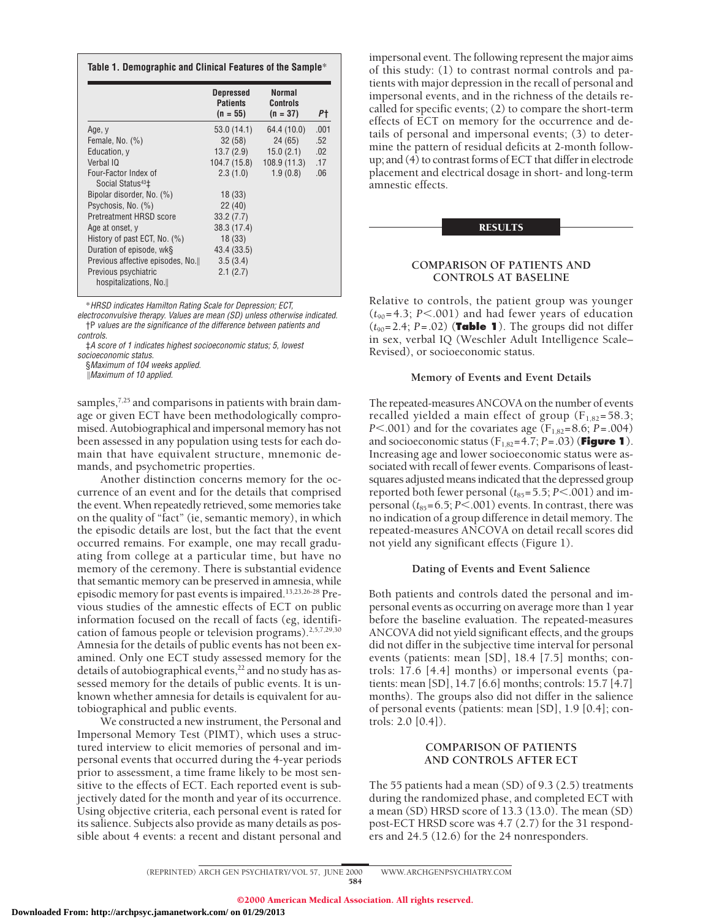|                                                                  | <b>Depressed</b><br><b>Patients</b><br>$(n = 55)$ | <b>Normal</b><br><b>Controls</b><br>$(n = 37)$ | Ρt   |
|------------------------------------------------------------------|---------------------------------------------------|------------------------------------------------|------|
| Age, y                                                           | 53.0 (14.1)                                       | 64.4 (10.0)                                    | .001 |
| Female, No. $(\%)$                                               | 32(58)                                            | 24 (65)                                        | .52  |
| Education, y                                                     | 13.7(2.9)                                         | 15.0(2.1)                                      | .02  |
| Verbal IQ                                                        | 104.7 (15.8)                                      | 108.9(11.3)                                    | .17  |
| Four-Factor Index of<br>Social Status <sup>43</sup> <sup>+</sup> | 2.3(1.0)                                          | 1.9(0.8)                                       | .06  |
| Bipolar disorder, No. (%)                                        | 18(33)                                            |                                                |      |
| Psychosis, No. (%)                                               | 22(40)                                            |                                                |      |
| Pretreatment HRSD score                                          | 33.2(7.7)                                         |                                                |      |
| Age at onset, y                                                  | 38.3 (17.4)                                       |                                                |      |
| History of past ECT, No. (%)                                     | 18(33)                                            |                                                |      |
| Duration of episode, wk§                                         | 43.4 (33.5)                                       |                                                |      |
| Previous affective episodes, No.                                 | 3.5(3.4)                                          |                                                |      |
| Previous psychiatric<br>hospitalizations, No.                    | 2.1(2.7)                                          |                                                |      |

\*HRSD indicates Hamilton Rating Scale for Depression; ECT,

electroconvulsive therapy. Values are mean (SD) unless otherwise indicated. †P values are the significance of the difference between patients and controls.

‡A score of 1 indicates highest socioeconomic status; 5, lowest

socioeconomic status.

§Maximum of 104 weeks applied.

 $\mathbb{M}$  Maximum of 10 applied.

samples,<sup>7,25</sup> and comparisons in patients with brain damage or given ECT have been methodologically compromised. Autobiographical and impersonal memory has not been assessed in any population using tests for each domain that have equivalent structure, mnemonic demands, and psychometric properties.

Another distinction concerns memory for the occurrence of an event and for the details that comprised the event. When repeatedly retrieved, some memories take on the quality of "fact" (ie, semantic memory), in which the episodic details are lost, but the fact that the event occurred remains. For example, one may recall graduating from college at a particular time, but have no memory of the ceremony. There is substantial evidence that semantic memory can be preserved in amnesia, while episodic memory for past events is impaired.13,23,26-28 Previous studies of the amnestic effects of ECT on public information focused on the recall of facts (eg, identification of famous people or television programs).<sup>2,5,7,29,30</sup> Amnesia for the details of public events has not been examined. Only one ECT study assessed memory for the details of autobiographical events,<sup>22</sup> and no study has assessed memory for the details of public events. It is unknown whether amnesia for details is equivalent for autobiographical and public events.

We constructed a new instrument, the Personal and Impersonal Memory Test (PIMT), which uses a structured interview to elicit memories of personal and impersonal events that occurred during the 4-year periods prior to assessment, a time frame likely to be most sensitive to the effects of ECT. Each reported event is subjectively dated for the month and year of its occurrence. Using objective criteria, each personal event is rated for its salience. Subjects also provide as many details as possible about 4 events: a recent and distant personal and

impersonal event. The following represent the major aims of this study: (1) to contrast normal controls and patients with major depression in the recall of personal and impersonal events, and in the richness of the details recalled for specific events; (2) to compare the short-term effects of ECT on memory for the occurrence and details of personal and impersonal events; (3) to determine the pattern of residual deficits at 2-month followup; and  $(4)$  to contrast forms of ECT that differ in electrode placement and electrical dosage in short- and long-term amnestic effects.

#### RESULTS

# **COMPARISON OF PATIENTS AND CONTROLS AT BASELINE**

Relative to controls, the patient group was younger  $(t_{90} = 4.3; P < .001)$  and had fewer years of education  $(t_{90}=2.4; P=.02)$  (**Table 1**). The groups did not differ in sex, verbal IQ (Weschler Adult Intelligence Scale– Revised), or socioeconomic status.

# **Memory of Events and Event Details**

The repeated-measures ANCOVA on the number of events recalled yielded a main effect of group  $(F_{1,82}=58.3;$ *P*<.001) and for the covariates age ( $F_{1,82}$ =8.6; *P*=.004) and socioeconomic status  $(F_{1,82}=4.7; P=.03)$  (**Figure 1**). Increasing age and lower socioeconomic status were associated with recall of fewer events. Comparisons of leastsquares adjusted means indicated that the depressed group reported both fewer personal  $(t_{85}=5.5; P<.001)$  and impersonal  $(t_{85}=6.5; P<.001)$  events. In contrast, there was no indication of a group difference in detail memory. The repeated-measures ANCOVA on detail recall scores did not yield any significant effects (Figure 1).

#### **Dating of Events and Event Salience**

Both patients and controls dated the personal and impersonal events as occurring on average more than 1 year before the baseline evaluation. The repeated-measures ANCOVA did not yield significant effects, and the groups did not differ in the subjective time interval for personal events (patients: mean [SD], 18.4 [7.5] months; controls: 17.6 [4.4] months) or impersonal events (patients: mean [SD], 14.7 [6.6] months; controls: 15.7 [4.7] months). The groups also did not differ in the salience of personal events (patients: mean [SD], 1.9 [0.4]; controls: 2.0 [0.4]).

# **COMPARISON OF PATIENTS AND CONTROLS AFTER ECT**

The 55 patients had a mean (SD) of 9.3 (2.5) treatments during the randomized phase, and completed ECT with a mean (SD) HRSD score of 13.3 (13.0). The mean (SD) post-ECT HRSD score was 4.7 (2.7) for the 31 responders and 24.5 (12.6) for the 24 nonresponders.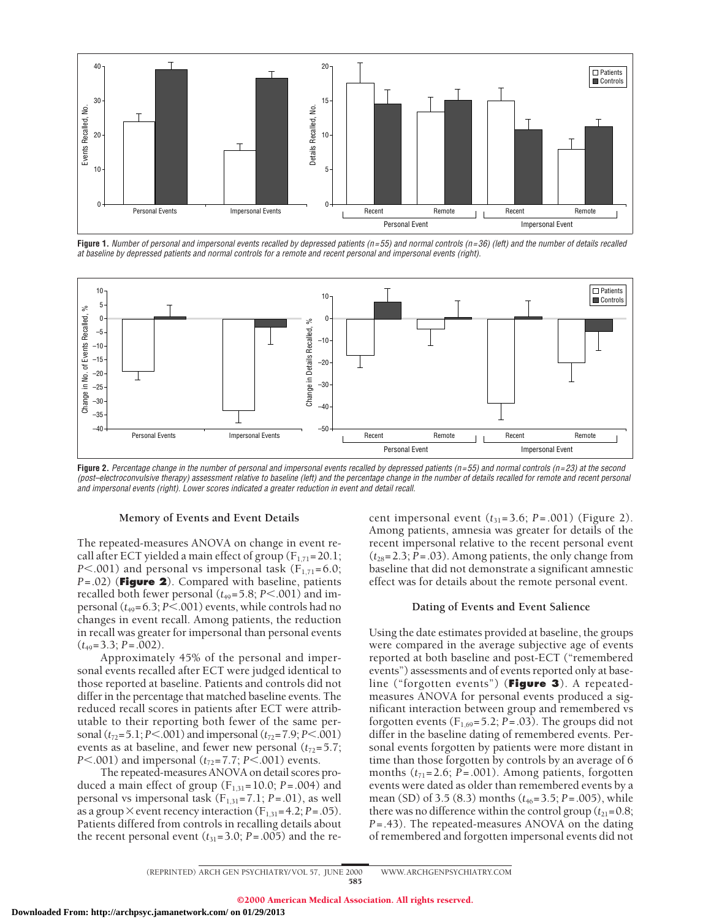

**Figure 1.** Number of personal and impersonal events recalled by depressed patients (n=55) and normal controls (n=36) (left) and the number of details recalled at baseline by depressed patients and normal controls for <sup>a</sup> remote and recent personal and impersonal events (right).



Figure 2. Percentage change in the number of personal and impersonal events recalled by depressed patients (n=55) and normal controls (n=23) at the second (post–electroconvulsive therapy) assessment relative to baseline (left) and the percentage change in the number of details recalled for remote and recent personal and impersonal events (right). Lower scores indicated <sup>a</sup> greater reduction in event and detail recall.

#### **Memory of Events and Event Details**

The repeated-measures ANOVA on change in event recall after ECT yielded a main effect of group  $(F_{1,71}=20.1;$ *P*<.001) and personal vs impersonal task  $(F_{1,71}=6.0;$ *P*=.02) (**Figure 2**). Compared with baseline, patients recalled both fewer personal  $(t_{49} = 5.8; P < .001)$  and impersonal  $(t_{49} = 6.3; P < .001)$  events, while controls had no changes in event recall. Among patients, the reduction in recall was greater for impersonal than personal events (*t*49=3.3; *P*=.002).

Approximately 45% of the personal and impersonal events recalled after ECT were judged identical to those reported at baseline. Patients and controls did not differ in the percentage that matched baseline events. The reduced recall scores in patients after ECT were attributable to their reporting both fewer of the same personal ( $t_{72}$ =5.1; *P*<.001) and impersonal ( $t_{72}$ =7.9; *P*<.001) events as at baseline, and fewer new personal  $(t_{72}=5.7;$ *P*<.001) and impersonal ( $t_{72}$ =7.7; *P*<.001) events.

The repeated-measures ANOVA on detail scores produced a main effect of group  $(F_{1,31}=10.0; P=.004)$  and personal vs impersonal task  $(F_{1,31}=7.1; P=.01)$ , as well as a group  $\times$  event recency interaction (F<sub>1,31</sub>=4.2; *P*=.05). Patients differed from controls in recalling details about the recent personal event  $(t_{31}=3.0; P=.005)$  and the recent impersonal event  $(t_{31} = 3.6; P = .001)$  (Figure 2). Among patients, amnesia was greater for details of the recent impersonal relative to the recent personal event  $(t_{28}=2.3; P=.03)$ . Among patients, the only change from baseline that did not demonstrate a significant amnestic effect was for details about the remote personal event.

## **Dating of Events and Event Salience**

Using the date estimates provided at baseline, the groups were compared in the average subjective age of events reported at both baseline and post-ECT ("remembered events") assessments and of events reported only at baseline ("forgotten events") (**Figure 3**). A repeatedmeasures ANOVA for personal events produced a significant interaction between group and remembered vs forgotten events  $(F_{1,69} = 5.2; P = .03)$ . The groups did not differ in the baseline dating of remembered events. Personal events forgotten by patients were more distant in time than those forgotten by controls by an average of 6 months  $(t_{71}=2.6; P=.001)$ . Among patients, forgotten events were dated as older than remembered events by a mean (SD) of 3.5 (8.3) months ( $t_{46}$ =3.5; *P* = .005), while there was no difference within the control group  $(t_{21}=0.8;$ *P*=.43). The repeated-measures ANOVA on the dating of remembered and forgotten impersonal events did not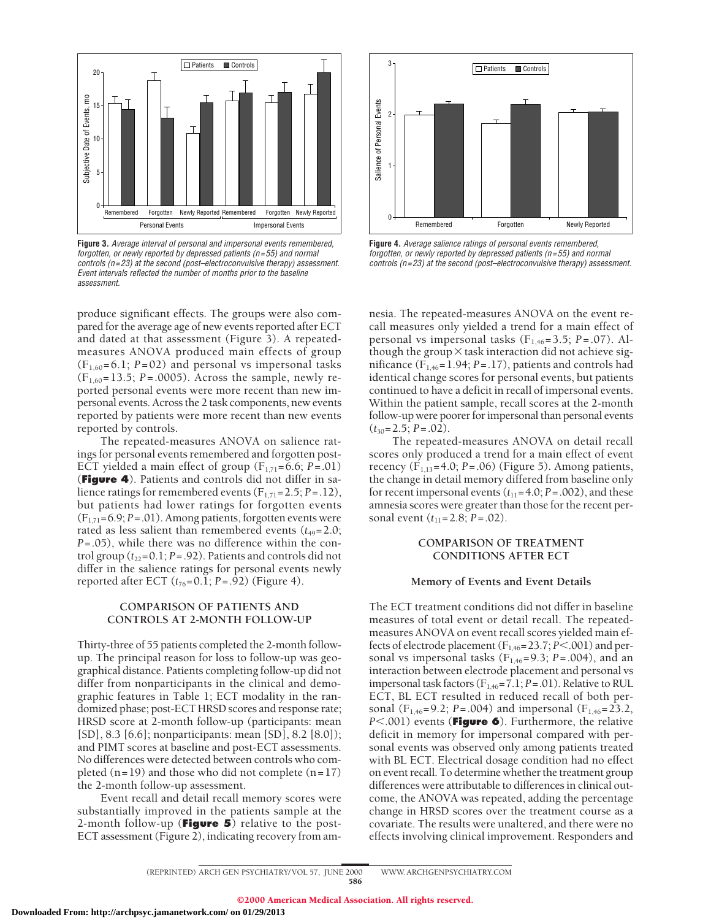

**Figure 3.** Average interval of personal and impersonal events remembered, forgotten, or newly reported by depressed patients (n=55) and normal controls (n=23) at the second (post–electroconvulsive therapy) assessment. Event intervals reflected the number of months prior to the baseline assessment.

produce significant effects. The groups were also compared for the average age of new events reported after ECT and dated at that assessment (Figure 3). A repeatedmeasures ANOVA produced main effects of group  $(F_{1,60} = 6.1; P = 02)$  and personal vs impersonal tasks  $(F_{1,60} = 13.5; P = .0005)$ . Across the sample, newly reported personal events were more recent than new impersonal events. Across the 2 task components, new events reported by patients were more recent than new events reported by controls.

The repeated-measures ANOVA on salience ratings for personal events remembered and forgotten post-ECT yielded a main effect of group  $(F_{1,71}=6.6; P=.01)$ (**Figure 4**). Patients and controls did not differ in salience ratings for remembered events  $(F_{1,71}=2.5; P=.12)$ , but patients had lower ratings for forgotten events (F1,71=6.9; *P*=.01). Among patients, forgotten events were rated as less salient than remembered events  $(t_{49}=2.0;$ *P*=.05), while there was no difference within the control group  $(t_{22}=0.1; P=.92)$ . Patients and controls did not differ in the salience ratings for personal events newly reported after ECT  $(t_{76}=0.1; P=.92)$  (Figure 4).

# **COMPARISON OF PATIENTS AND CONTROLS AT 2-MONTH FOLLOW-UP**

Thirty-three of 55 patients completed the 2-month followup. The principal reason for loss to follow-up was geographical distance. Patients completing follow-up did not differ from nonparticipants in the clinical and demographic features in Table 1; ECT modality in the randomized phase; post-ECT HRSD scores and response rate; HRSD score at 2-month follow-up (participants: mean [SD], 8.3 [6.6]; nonparticipants: mean [SD], 8.2 [8.0]); and PIMT scores at baseline and post-ECT assessments. No differences were detected between controls who completed  $(n=19)$  and those who did not complete  $(n=17)$ the 2-month follow-up assessment.

Event recall and detail recall memory scores were substantially improved in the patients sample at the 2-month follow-up (**Figure 5**) relative to the post-ECT assessment (Figure 2), indicating recovery from am-



**Figure 4.** Average salience ratings of personal events remembered, forgotten, or newly reported by depressed patients ( $n=55$ ) and normal controls (n=23) at the second (post–electroconvulsive therapy) assessment.

nesia. The repeated-measures ANOVA on the event recall measures only yielded a trend for a main effect of personal vs impersonal tasks  $(F_{1,46}=3.5; P=.07)$ . Although the group $\times$  task interaction did not achieve significance (F1,46=1.94; *P*=.17), patients and controls had identical change scores for personal events, but patients continued to have a deficit in recall of impersonal events. Within the patient sample, recall scores at the 2-month follow-up were poorer for impersonal than personal events  $(t_{30}=2.5; P=.02)$ .

The repeated-measures ANOVA on detail recall scores only produced a trend for a main effect of event recency  $(F_{1,13} = 4.0; P = .06)$  (Figure 5). Among patients, the change in detail memory differed from baseline only for recent impersonal events  $(t_{11}=4.0; P=.002)$ , and these amnesia scores were greater than those for the recent personal event ( $t_{11}$ =2.8; *P* = .02).

# **COMPARISON OF TREATMENT CONDITIONS AFTER ECT**

#### **Memory of Events and Event Details**

The ECT treatment conditions did not differ in baseline measures of total event or detail recall. The repeatedmeasures ANOVA on event recall scores yielded main effects of electrode placement  $(F_{1,46}=23.7; P<.001)$  and personal vs impersonal tasks ( $F_{1,46}$ =9.3; *P*=.004), and an interaction between electrode placement and personal vs impersonal task factors (F1,46=7.1; *P*=.01). Relative to RUL ECT, BL ECT resulted in reduced recall of both personal (F<sub>1,46</sub>=9.2; *P*=.004) and impersonal (F<sub>1,46</sub>=23.2, *P*<.001) events (**Figure 6**). Furthermore, the relative deficit in memory for impersonal compared with personal events was observed only among patients treated with BL ECT. Electrical dosage condition had no effect on event recall. To determine whether the treatment group differences were attributable to differences in clinical outcome, the ANOVA was repeated, adding the percentage change in HRSD scores over the treatment course as a covariate. The results were unaltered, and there were no effects involving clinical improvement. Responders and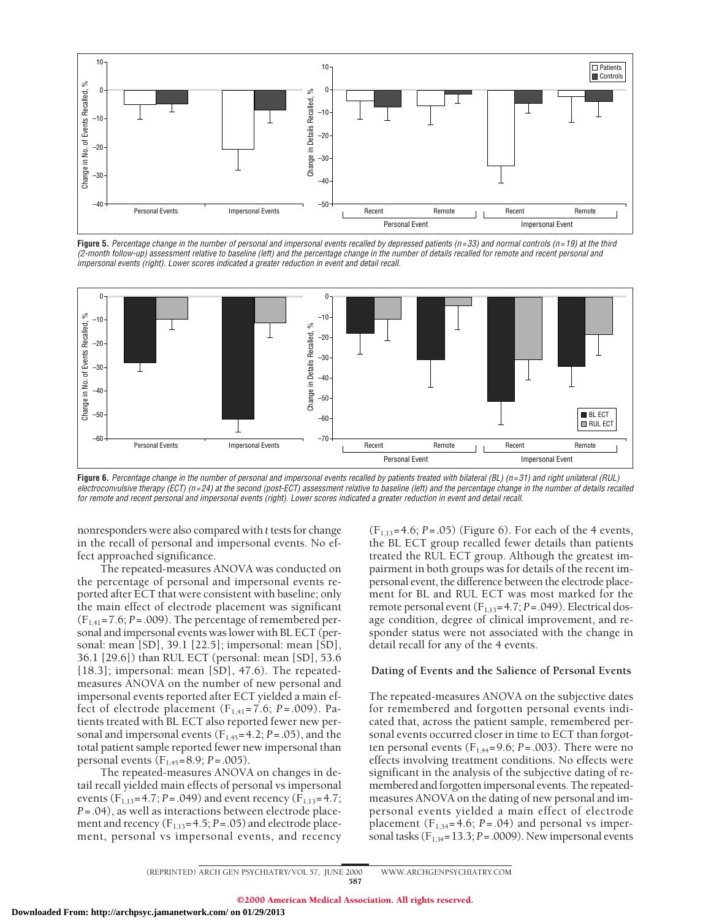

**Figure 5.** Percentage change in the number of personal and impersonal events recalled by depressed patients (n=33) and normal controls (n=19) at the third (2-month follow-up) assessment relative to baseline (left) and the percentage change in the number of details recalled for remote and recent personal and impersonal events (right). Lower scores indicated <sup>a</sup> greater reduction in event and detail recall.



**Figure 6.** Percentage change in the number of personal and impersonal events recalled by patients treated with bilateral (BL) (n=31) and right unilateral (RUL) electroconvulsive therapy (ECT) (n=24) at the second (post-ECT) assessment relative to baseline (left) and the percentage change in the number of details recalled for remote and recent personal and impersonal events (right). Lower scores indicated <sup>a</sup> greater reduction in event and detail recall.

nonresponders were also compared with *t* tests for change in the recall of personal and impersonal events. No effect approached significance.

The repeated-measures ANOVA was conducted on the percentage of personal and impersonal events reported after ECT that were consistent with baseline; only the main effect of electrode placement was significant  $(F_{1,41}=7.6; P=.009)$ . The percentage of remembered personal and impersonal events was lower with BL ECT (personal: mean [SD], 39.1 [22.5]; impersonal: mean [SD], 36.1 [29.6]) than RUL ECT (personal: mean [SD], 53.6 [18.3]; impersonal: mean [SD], 47.6). The repeatedmeasures ANOVA on the number of new personal and impersonal events reported after ECT yielded a main effect of electrode placement  $(F_{1,41} = 7.6; P = .009)$ . Patients treated with BL ECT also reported fewer new personal and impersonal events  $(F_{1,45}=4.2; P=.05)$ , and the total patient sample reported fewer new impersonal than personal events (F1,45=8.9; *P*=.005).

The repeated-measures ANOVA on changes in detail recall yielded main effects of personal vs impersonal events ( $F_{1,13}$ =4.7; *P*=.049) and event recency ( $F_{1,13}$ =4.7; *P*=.04), as well as interactions between electrode placement and recency  $(F_{1,13}=4.5; P=.05)$  and electrode placement, personal vs impersonal events, and recency

(F1,13=4.6; *P*=.05) (Figure 6). For each of the 4 events, the BL ECT group recalled fewer details than patients treated the RUL ECT group. Although the greatest impairment in both groups was for details of the recent impersonal event, the difference between the electrode placement for BL and RUL ECT was most marked for the remote personal event (F<sub>1,13</sub>=4.7; *P*=.049). Electrical dosage condition, degree of clinical improvement, and responder status were not associated with the change in detail recall for any of the 4 events.

# **Dating of Events and the Salience of Personal Events**

The repeated-measures ANOVA on the subjective dates for remembered and forgotten personal events indicated that, across the patient sample, remembered personal events occurred closer in time to ECT than forgotten personal events  $(F_{1,44}=9.6; P=.003)$ . There were no effects involving treatment conditions. No effects were significant in the analysis of the subjective dating of remembered and forgotten impersonal events. The repeatedmeasures ANOVA on the dating of new personal and impersonal events yielded a main effect of electrode placement  $(F_{1,34}=4.6; P=.04)$  and personal vs impersonal tasks  $(F<sub>1,34</sub>=13.3; P=.0009)$ . New impersonal events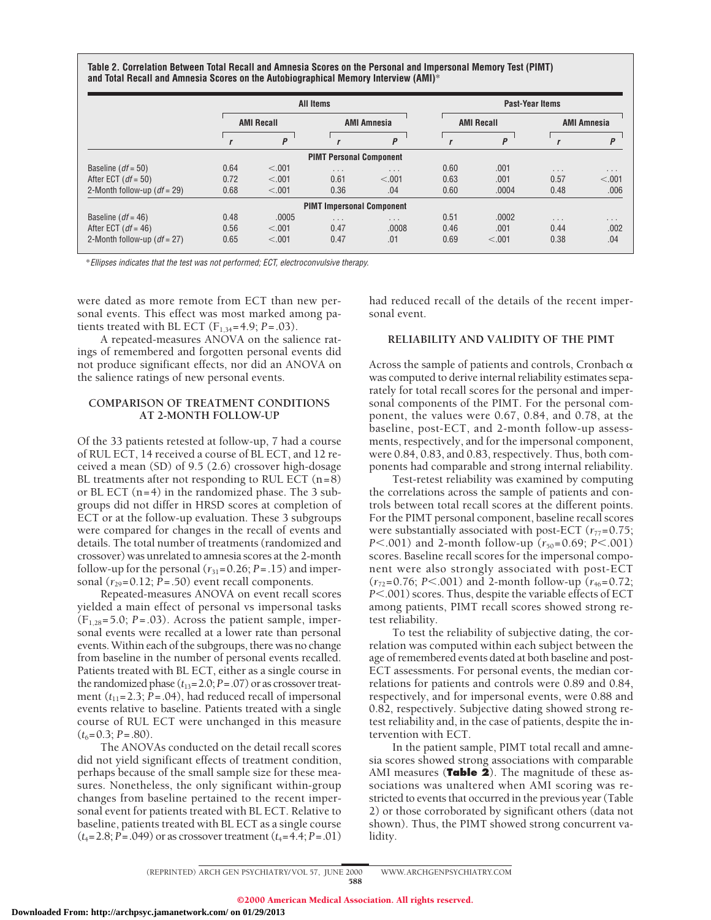**Table 2. Correlation Between Total Recall and Amnesia Scores on the Personal and Impersonal Memory Test (PIMT) and Total Recall and Amnesia Scores on the Autobiographical Memory Interview (AMI)**\*

|                               | All Items         |        |                                  |                         | <b>Past-Year Items</b> |        |                         |                         |
|-------------------------------|-------------------|--------|----------------------------------|-------------------------|------------------------|--------|-------------------------|-------------------------|
|                               | <b>AMI Recall</b> |        | <b>AMI Amnesia</b>               |                         | <b>AMI Recall</b>      |        | <b>AMI Amnesia</b>      |                         |
|                               |                   | P      |                                  | P                       |                        | P      |                         | P                       |
|                               |                   |        | <b>PIMT Personal Component</b>   |                         |                        |        |                         |                         |
| Baseline ( $df = 50$ )        | 0.64              | < .001 | $\cdots$                         | $\cdot$ $\cdot$ $\cdot$ | 0.60                   | .001   | $\cdot$ $\cdot$ $\cdot$ | $\cdot$ $\cdot$ $\cdot$ |
| After ECT ( $df = 50$ )       | 0.72              | < .001 | 0.61                             | < .001                  | 0.63                   | .001   | 0.57                    | < .001                  |
| 2-Month follow-up $(df = 29)$ | 0.68              | < 0.01 | 0.36                             | .04                     | 0.60                   | .0004  | 0.48                    | .006                    |
|                               |                   |        | <b>PIMT Impersonal Component</b> |                         |                        |        |                         |                         |
| Baseline ( $df = 46$ )        | 0.48              | .0005  | $\sim$ $\sim$ $\sim$             | $\cdot$ $\cdot$ $\cdot$ | 0.51                   | .0002  | $\cdots$                | $\cdots$                |
| After ECT ( $df = 46$ )       | 0.56              | < 0.01 | 0.47                             | .0008                   | 0.46                   | .001   | 0.44                    | .002                    |
| 2-Month follow-up $(df = 27)$ | 0.65              | < 0.01 | 0.47                             | .01                     | 0.69                   | < 0.01 | 0.38                    | .04                     |

\*Ellipses indicates that the test was not performed; ECT, electroconvulsive therapy.

were dated as more remote from ECT than new personal events. This effect was most marked among patients treated with BL ECT ( $F_{1,34} = 4.9$ ;  $P = .03$ ).

A repeated-measures ANOVA on the salience ratings of remembered and forgotten personal events did not produce significant effects, nor did an ANOVA on the salience ratings of new personal events.

# **COMPARISON OF TREATMENT CONDITIONS AT 2-MONTH FOLLOW-UP**

Of the 33 patients retested at follow-up, 7 had a course of RUL ECT, 14 received a course of BL ECT, and 12 received a mean (SD) of 9.5 (2.6) crossover high-dosage BL treatments after not responding to RUL ECT  $(n=8)$ or BL ECT  $(n=4)$  in the randomized phase. The 3 subgroups did not differ in HRSD scores at completion of ECT or at the follow-up evaluation. These 3 subgroups were compared for changes in the recall of events and details. The total number of treatments (randomized and crossover) was unrelated to amnesia scores at the 2-month follow-up for the personal  $(r_{31}=0.26; P=.15)$  and impersonal  $(r_{29}=0.12; P=.50)$  event recall components.

Repeated-measures ANOVA on event recall scores yielded a main effect of personal vs impersonal tasks  $(F_{1,28}=5.0; P=.03)$ . Across the patient sample, impersonal events were recalled at a lower rate than personal events. Within each of the subgroups, there was no change from baseline in the number of personal events recalled. Patients treated with BL ECT, either as a single course in the randomized phase  $(t_{13}=2.0; P=.07)$  or as crossover treatment  $(t_{11}=2.3; \bar{P}=.04)$ , had reduced recall of impersonal events relative to baseline. Patients treated with a single course of RUL ECT were unchanged in this measure  $(t_6=0.3; P=.80)$ .

The ANOVAs conducted on the detail recall scores did not yield significant effects of treatment condition, perhaps because of the small sample size for these measures. Nonetheless, the only significant within-group changes from baseline pertained to the recent impersonal event for patients treated with BL ECT. Relative to baseline, patients treated with BL ECT as a single course  $(t_4 = 2.8; P = .049)$  or as crossover treatment  $(t_4 = 4.4; P = .01)$ 

had reduced recall of the details of the recent impersonal event.

# **RELIABILITY AND VALIDITY OF THE PIMT**

Across the sample of patients and controls, Cronbach  $\alpha$ was computed to derive internal reliability estimates separately for total recall scores for the personal and impersonal components of the PIMT. For the personal component, the values were 0.67, 0.84, and 0.78, at the baseline, post-ECT, and 2-month follow-up assessments, respectively, and for the impersonal component, were 0.84, 0.83, and 0.83, respectively. Thus, both components had comparable and strong internal reliability.

Test-retest reliability was examined by computing the correlations across the sample of patients and controls between total recall scores at the different points. For the PIMT personal component, baseline recall scores were substantially associated with post-ECT  $(r_{77}=0.75;$ *P*<.001) and 2-month follow-up ( $r_{50}$ =0.69; *P*<.001) scores. Baseline recall scores for the impersonal component were also strongly associated with post-ECT  $(r_{72}=0.76; P<.001)$  and 2-month follow-up  $(r_{46}=0.72;$ *P*<.001) scores. Thus, despite the variable effects of ECT among patients, PIMT recall scores showed strong retest reliability.

To test the reliability of subjective dating, the correlation was computed within each subject between the age of remembered events dated at both baseline and post-ECT assessments. For personal events, the median correlations for patients and controls were 0.89 and 0.84, respectively, and for impersonal events, were 0.88 and 0.82, respectively. Subjective dating showed strong retest reliability and, in the case of patients, despite the intervention with ECT.

In the patient sample, PIMT total recall and amnesia scores showed strong associations with comparable AMI measures (**Table 2**). The magnitude of these associations was unaltered when AMI scoring was restricted to events that occurred in the previous year (Table 2) or those corroborated by significant others (data not shown). Thus, the PIMT showed strong concurrent validity.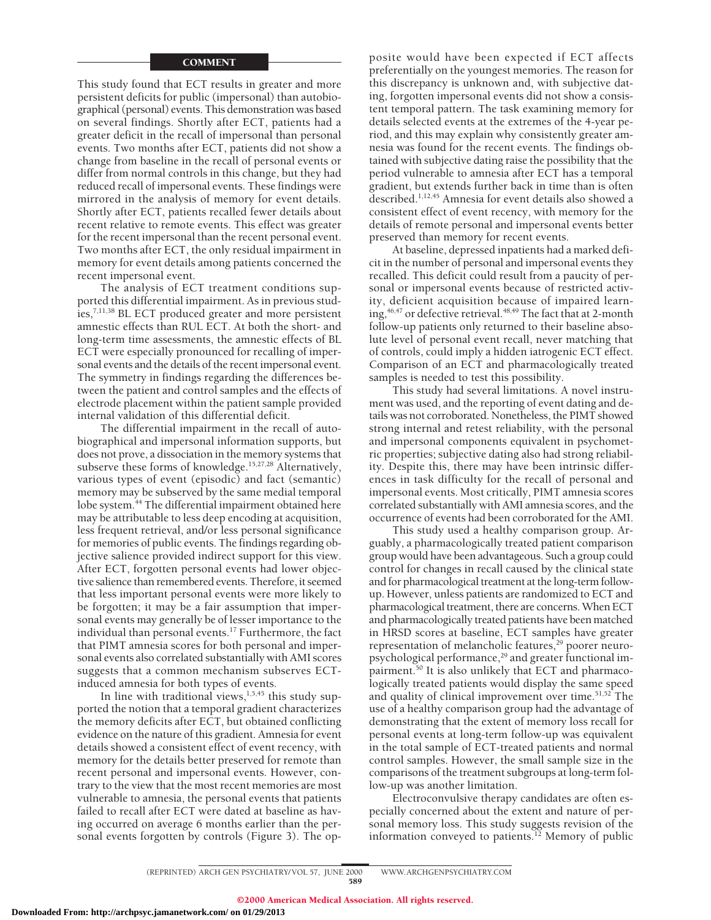#### **COMMENT**

This study found that ECT results in greater and more persistent deficits for public (impersonal) than autobiographical (personal) events. This demonstration was based on several findings. Shortly after ECT, patients had a greater deficit in the recall of impersonal than personal events. Two months after ECT, patients did not show a change from baseline in the recall of personal events or differ from normal controls in this change, but they had reduced recall of impersonal events. These findings were mirrored in the analysis of memory for event details. Shortly after ECT, patients recalled fewer details about recent relative to remote events. This effect was greater for the recent impersonal than the recent personal event. Two months after ECT, the only residual impairment in memory for event details among patients concerned the recent impersonal event.

The analysis of ECT treatment conditions supported this differential impairment. As in previous studies,7,11,38 BL ECT produced greater and more persistent amnestic effects than RUL ECT. At both the short- and long-term time assessments, the amnestic effects of BL ECT were especially pronounced for recalling of impersonal events and the details of the recent impersonal event. The symmetry in findings regarding the differences between the patient and control samples and the effects of electrode placement within the patient sample provided internal validation of this differential deficit.

The differential impairment in the recall of autobiographical and impersonal information supports, but does not prove, a dissociation in the memory systems that subserve these forms of knowledge.<sup>15,27,28</sup> Alternatively, various types of event (episodic) and fact (semantic) memory may be subserved by the same medial temporal lobe system.<sup>44</sup> The differential impairment obtained here may be attributable to less deep encoding at acquisition, less frequent retrieval, and/or less personal significance for memories of public events. The findings regarding objective salience provided indirect support for this view. After ECT, forgotten personal events had lower objective salience than remembered events. Therefore, it seemed that less important personal events were more likely to be forgotten; it may be a fair assumption that impersonal events may generally be of lesser importance to the individual than personal events.<sup>17</sup> Furthermore, the fact that PIMT amnesia scores for both personal and impersonal events also correlated substantially with AMI scores suggests that a common mechanism subserves ECTinduced amnesia for both types of events.

In line with traditional views, $1,5,45$  this study supported the notion that a temporal gradient characterizes the memory deficits after ECT, but obtained conflicting evidence on the nature of this gradient. Amnesia for event details showed a consistent effect of event recency, with memory for the details better preserved for remote than recent personal and impersonal events. However, contrary to the view that the most recent memories are most vulnerable to amnesia, the personal events that patients failed to recall after ECT were dated at baseline as having occurred on average 6 months earlier than the personal events forgotten by controls (Figure 3). The op-

posite would have been expected if ECT affects preferentially on the youngest memories. The reason for this discrepancy is unknown and, with subjective dating, forgotten impersonal events did not show a consistent temporal pattern. The task examining memory for details selected events at the extremes of the 4-year period, and this may explain why consistently greater amnesia was found for the recent events. The findings obtained with subjective dating raise the possibility that the period vulnerable to amnesia after ECT has a temporal gradient, but extends further back in time than is often described.1,12,45 Amnesia for event details also showed a consistent effect of event recency, with memory for the details of remote personal and impersonal events better preserved than memory for recent events.

At baseline, depressed inpatients had a marked deficit in the number of personal and impersonal events they recalled. This deficit could result from a paucity of personal or impersonal events because of restricted activity, deficient acquisition because of impaired learning,<sup>46,47</sup> or defective retrieval.<sup>48,49</sup> The fact that at 2-month follow-up patients only returned to their baseline absolute level of personal event recall, never matching that of controls, could imply a hidden iatrogenic ECT effect. Comparison of an ECT and pharmacologically treated samples is needed to test this possibility.

This study had several limitations. A novel instrument was used, and the reporting of event dating and details was not corroborated. Nonetheless, the PIMT showed strong internal and retest reliability, with the personal and impersonal components equivalent in psychometric properties; subjective dating also had strong reliability. Despite this, there may have been intrinsic differences in task difficulty for the recall of personal and impersonal events. Most critically, PIMT amnesia scores correlated substantially with AMI amnesia scores, and the occurrence of events had been corroborated for the AMI.

This study used a healthy comparison group. Arguably, a pharmacologically treated patient comparison group would have been advantageous. Such a group could control for changes in recall caused by the clinical state and for pharmacological treatment at the long-term followup. However, unless patients are randomized to ECT and pharmacological treatment, there are concerns. When ECT and pharmacologically treated patients have been matched in HRSD scores at baseline, ECT samples have greater representation of melancholic features,<sup>29</sup> poorer neuropsychological performance,<sup>29</sup> and greater functional impairment.50 It is also unlikely that ECT and pharmacologically treated patients would display the same speed and quality of clinical improvement over time.<sup>51,52</sup> The use of a healthy comparison group had the advantage of demonstrating that the extent of memory loss recall for personal events at long-term follow-up was equivalent in the total sample of ECT-treated patients and normal control samples. However, the small sample size in the comparisons of the treatment subgroups at long-term follow-up was another limitation.

Electroconvulsive therapy candidates are often especially concerned about the extent and nature of personal memory loss. This study suggests revision of the information conveyed to patients.<sup>12</sup> Memory of public